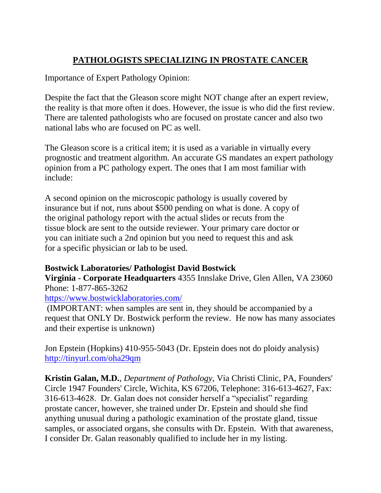## **PATHOLOGISTS SPECIALIZING IN PROSTATE CANCER**

Importance of Expert Pathology Opinion:

Despite the fact that the Gleason score might NOT change after an expert review, the reality is that more often it does. However, the issue is who did the first review. There are talented pathologists who are focused on prostate cancer and also two national labs who are focused on PC as well.

The Gleason score is a critical item; it is used as a variable in virtually every prognostic and treatment algorithm. An accurate GS mandates an expert pathology opinion from a PC pathology expert. The ones that I am most familiar with include:

A second opinion on the microscopic pathology is usually covered by insurance but if not, runs about \$500 pending on what is done. A copy of the original pathology report with the actual slides or recuts from the tissue block are sent to the outside reviewer. Your primary care doctor or you can initiate such a 2nd opinion but you need to request this and ask for a specific physician or lab to be used.

## **Bostwick Laboratories/ Pathologist David Bostwick**

**Virginia - Corporate Headquarters** 4355 Innslake Drive, Glen Allen, VA 23060 Phone: 1[-877-865-3262](tel:1-877-865-3262)

## <https://www.bostwicklaboratories.com/>

(IMPORTANT: when samples are sent in, they should be accompanied by a request that ONLY Dr. Bostwick perform the review. He now has many associates and their expertise is unknown)

Jon Epstein (Hopkins) 410-955-5043 (Dr. Epstein does not do ploidy analysis) <http://tinyurl.com/oha29qm>

**Kristin Galan, M.D.**, *Department of Pathology,* Via Christi Clinic, PA, Founders' Circle 1947 Founders' Circle, Wichita, KS 67206, Telephone: 316-613-4627, Fax: 316-613-4628. Dr. Galan does not consider herself a "specialist" regarding prostate cancer, however, she trained under Dr. Epstein and should she find anything unusual during a pathologic examination of the prostate gland, tissue samples, or associated organs, she consults with Dr. Epstein. With that awareness, I consider Dr. Galan reasonably qualified to include her in my listing.